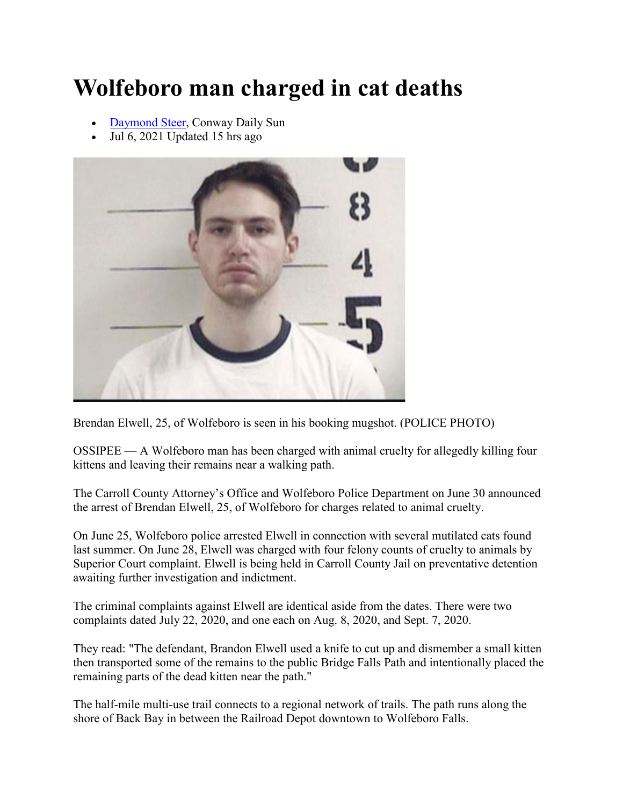## **Wolfeboro man charged in cat deaths**

- [Daymond Steer,](https://www.conwaydailysun.com/users/profile/dsteer) Conway Daily Sun
- Jul 6, 2021 Updated 15 hrs ago



Brendan Elwell, 25, of Wolfeboro is seen in his booking mugshot. (POLICE PHOTO)

OSSIPEE — A Wolfeboro man has been charged with animal cruelty for allegedly killing four kittens and leaving their remains near a walking path.

The Carroll County Attorney's Office and Wolfeboro Police Department on June 30 announced the arrest of Brendan Elwell, 25, of Wolfeboro for charges related to animal cruelty.

On June 25, Wolfeboro police arrested Elwell in connection with several mutilated cats found last summer. On June 28, Elwell was charged with four felony counts of cruelty to animals by Superior Court complaint. Elwell is being held in Carroll County Jail on preventative detention awaiting further investigation and indictment.

The criminal complaints against Elwell are identical aside from the dates. There were two complaints dated July 22, 2020, and one each on Aug. 8, 2020, and Sept. 7, 2020.

They read: "The defendant, Brandon Elwell used a knife to cut up and dismember a small kitten then transported some of the remains to the public Bridge Falls Path and intentionally placed the remaining parts of the dead kitten near the path."

The half-mile multi-use trail connects to a regional network of trails. The path runs along the shore of Back Bay in between the Railroad Depot downtown to Wolfeboro Falls.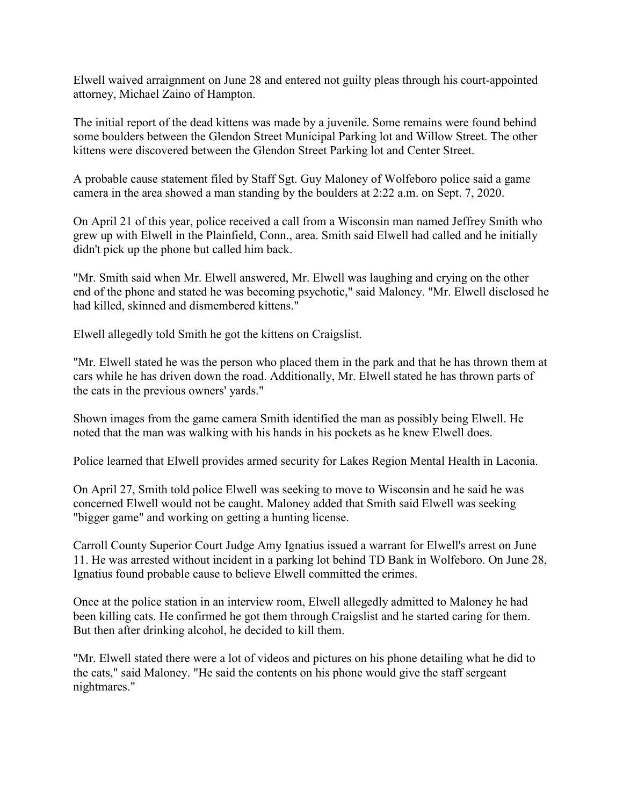Elwell waived arraignment on June 28 and entered not guilty pleas through his court-appointed attorney, Michael Zaino of Hampton.

The initial report of the dead kittens was made by a juvenile. Some remains were found behind some boulders between the Glendon Street Municipal Parking lot and Willow Street. The other kittens were discovered between the Glendon Street Parking lot and Center Street.

A probable cause statement filed by Staff Sgt. Guy Maloney of Wolfeboro police said a game camera in the area showed a man standing by the boulders at 2:22 a.m. on Sept. 7, 2020.

On April 21 of this year, police received a call from a Wisconsin man named Jeffrey Smith who grew up with Elwell in the Plainfield, Conn., area. Smith said Elwell had called and he initially didn't pick up the phone but called him back.

"Mr. Smith said when Mr. Elwell answered, Mr. Elwell was laughing and crying on the other end of the phone and stated he was becoming psychotic," said Maloney. "Mr. Elwell disclosed he had killed, skinned and dismembered kittens."

Elwell allegedly told Smith he got the kittens on Craigslist.

"Mr. Elwell stated he was the person who placed them in the park and that he has thrown them at cars while he has driven down the road. Additionally, Mr. Elwell stated he has thrown parts of the cats in the previous owners' yards."

Shown images from the game camera Smith identified the man as possibly being Elwell. He noted that the man was walking with his hands in his pockets as he knew Elwell does.

Police learned that Elwell provides armed security for Lakes Region Mental Health in Laconia.

On April 27, Smith told police Elwell was seeking to move to Wisconsin and he said he was concerned Elwell would not be caught. Maloney added that Smith said Elwell was seeking "bigger game" and working on getting a hunting license.

Carroll County Superior Court Judge Amy Ignatius issued a warrant for Elwell's arrest on June 11. He was arrested without incident in a parking lot behind TD Bank in Wolfeboro. On June 28, Ignatius found probable cause to believe Elwell committed the crimes.

Once at the police station in an interview room, Elwell allegedly admitted to Maloney he had been killing cats. He confirmed he got them through Craigslist and he started caring for them. But then after drinking alcohol, he decided to kill them.

"Mr. Elwell stated there were a lot of videos and pictures on his phone detailing what he did to the cats," said Maloney. "He said the contents on his phone would give the staff sergeant nightmares."